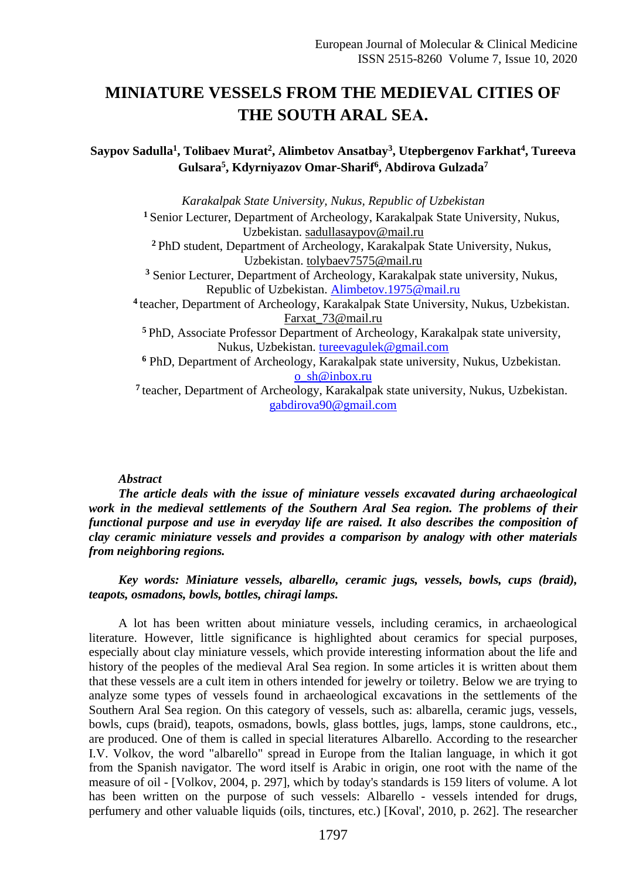## **MINIATURE VESSELS FROM THE MEDIEVAL CITIES OF THE SOUTH ARAL SEА.**

## **Saypov Sadulla<sup>1</sup> , Tolibaev Murat<sup>2</sup> , Alimbetov Ansatbay<sup>3</sup> , Utepbergenov Farkhat<sup>4</sup> , Tureeva Gulsara<sup>5</sup> , Kdyrniyazov Omar-Sharif<sup>6</sup> , Abdirova Gulzada<sup>7</sup>**

*Karakalpak State University, Nukus, Republic of Uzbekistan* **<sup>1</sup>** Senior Lecturer, Department of Archeology, Karakalpak State University, Nukus, Uzbekistan. [sadullasaypov@mail.ru](mailto:sadullasaypov@mail.ru) **<sup>2</sup>** PhD student, Department of Archeology, Karakalpak State University, Nukus, Uzbekistan. [tolybaev7575@mail.ru](mailto:tolybaev7575@mail.ru) **<sup>3</sup>** Senior Lecturer, Department of Archeology, Karakalpak state university, Nukus, Republic of Uzbekistan. [Alimbetov.1975@mail.ru](mailto:Alimbetov.1975@mail.ru) **<sup>4</sup>**teacher, Department of Archeology, Karakalpak State University, Nukus, Uzbekistan. [Farxat\\_73@mail.ru](mailto:Farxat_73@mail.ru) **<sup>5</sup>**PhD, Associate Professor Department of Archeology, Karakalpak state university, Nukus, Uzbekistan. [tureevagulek@gmail.com](mailto:tureevagulek@gmail.com) **<sup>6</sup>** PhD, Department of Archeology, Karakalpak state university, Nukus, Uzbekistan. [o\\_sh@inbox.ru](mailto:o_sh@inbox.ru) **<sup>7</sup>**teacher, Department of Archeology, Karakalpak state university, Nukus, Uzbekistan. [gabdirova90@gmail.com](mailto:gabdirova90@gmail.com)

## *Abstract*

*The article deals with the issue of miniature vessels excavated during archaeological work in the medieval settlements of the Southern Aral Sea region. The problems of their functional purpose and use in everyday life are raised. It also describes the composition of clay ceramic miniature vessels and provides a comparison by analogy with other materials from neighboring regions.*

*Key words: Miniature vessels, albarellо, ceramic jugs, vessels, bowls, cups (braid), teapots, osmadons, bowls, bottles, chiragi lamps.*

A lot has been written about miniature vessels, including ceramics, in archaeological literature. However, little significance is highlighted about ceramics for special purposes, especially about clay miniature vessels, which provide interesting information about the life and history of the peoples of the medieval Aral Sea region. In some articles it is written about them that these vessels are a cult item in others intended for jewelry or toiletry. Below we are trying to analyze some types of vessels found in archaeological excavations in the settlements of the Southern Aral Sea region. On this category of vessels, such as: albarella, ceramic jugs, vessels, bowls, cups (braid), teapots, osmadons, bowls, glass bottles, jugs, lamps, stone cauldrons, etc., are produced. One of them is called in special literatures Albarello. According to the researcher I.V. Volkov, the word "albarello" spread in Europe from the Italian language, in which it got from the Spanish navigator. The word itself is Arabic in origin, one root with the name of the measure of oil - [Volkov, 2004, p. 297], which by today's standards is 159 liters of volume. A lot has been written on the purpose of such vessels: Albarello - vessels intended for drugs, perfumery and other valuable liquids (oils, tinctures, etc.) [Koval', 2010, p. 262]. The researcher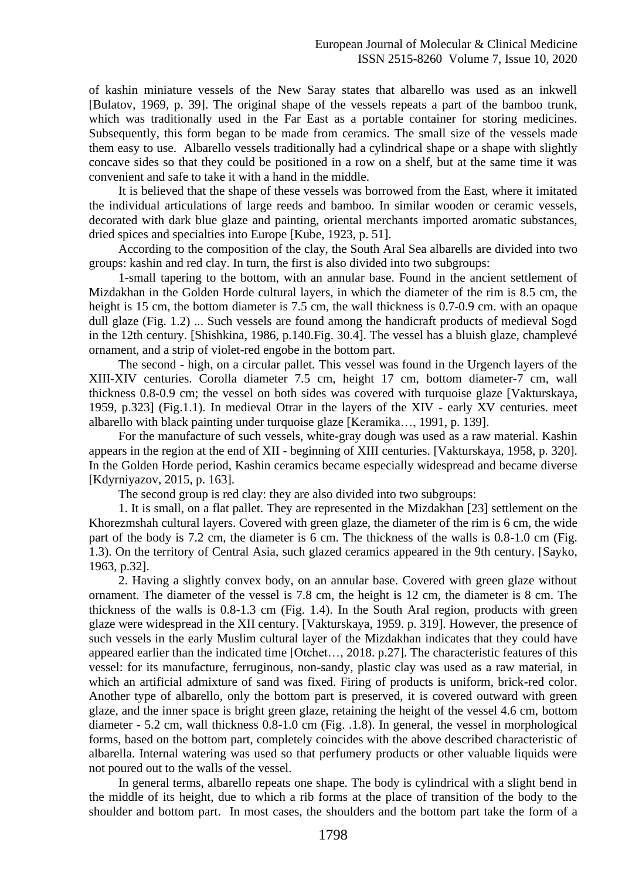of kashin miniature vessels of the New Saray states that albarello was used as an inkwell [Bulatov, 1969, p. 39]. The original shape of the vessels repeats a part of the bamboo trunk, which was traditionally used in the Far East as a portable container for storing medicines. Subsequently, this form began to be made from ceramics. The small size of the vessels made them easy to use. Albarello vessels traditionally had a cylindrical shape or a shape with slightly concave sides so that they could be positioned in a row on a shelf, but at the same time it was convenient and safe to take it with a hand in the middle.

It is believed that the shape of these vessels was borrowed from the East, where it imitated the individual articulations of large reeds and bamboo. In similar wooden or ceramic vessels, decorated with dark blue glaze and painting, oriental merchants imported aromatic substances, dried spices and specialties into Europe [Kube, 1923, p. 51].

According to the composition of the clay, the South Aral Sea albarells are divided into two groups: kashin and red clay. In turn, the first is also divided into two subgroups:

1-small tapering to the bottom, with an annular base. Found in the ancient settlement of Mizdakhan in the Golden Horde cultural layers, in which the diameter of the rim is 8.5 cm, the height is 15 cm, the bottom diameter is 7.5 cm, the wall thickness is 0.7-0.9 cm, with an opaque dull glaze (Fig. 1.2) ... Such vessels are found among the handicraft products of medieval Sogd in the 12th century. [Shishkina, 1986, p.140.Fig. 30.4]. The vessel has a bluish glaze, champlevé ornament, and a strip of violet-red engobe in the bottom part.

The second - high, on a circular pallet. This vessel was found in the Urgench layers of the XIII-XIV centuries. Corolla diameter 7.5 cm, height 17 cm, bottom diameter-7 cm, wall thickness 0.8-0.9 cm; the vessel on both sides was covered with turquoise glaze [Vakturskaya, 1959, p.323] (Fig.1.1). In medieval Otrar in the layers of the XIV - early XV centuries. meet albarello with black painting under turquoise glaze [Keramika…, 1991, p. 139].

For the manufacture of such vessels, white-gray dough was used as a raw material. Kashin appears in the region at the end of XII - beginning of XIII centuries. [Vakturskaya, 1958, p. 320]. In the Golden Horde period, Kashin ceramics became especially widespread and became diverse [Kdyrniyazov, 2015, p. 163].

The second group is red clay: they are also divided into two subgroups:

1. It is small, on a flat pallet. They are represented in the Mizdakhan [23] settlement on the Khorezmshah cultural layers. Covered with green glaze, the diameter of the rim is 6 cm, the wide part of the body is 7.2 cm, the diameter is 6 cm. The thickness of the walls is 0.8-1.0 cm (Fig. 1.3). On the territory of Central Asia, such glazed ceramics appeared in the 9th century. [Sayko, 1963, p.32].

2. Having a slightly convex body, on an annular base. Covered with green glaze without ornament. The diameter of the vessel is 7.8 cm, the height is 12 cm, the diameter is 8 cm. The thickness of the walls is 0.8-1.3 cm (Fig. 1.4). In the South Aral region, products with green glaze were widespread in the XII century. [Vakturskaya, 1959. p. 319]. However, the presence of such vessels in the early Muslim cultural layer of the Mizdakhan indicates that they could have appeared earlier than the indicated time [Otchet…, 2018. p.27]. The characteristic features of this vessel: for its manufacture, ferruginous, non-sandy, plastic clay was used as a raw material, in which an artificial admixture of sand was fixed. Firing of products is uniform, brick-red color. Another type of albarello, only the bottom part is preserved, it is covered outward with green glaze, and the inner space is bright green glaze, retaining the height of the vessel 4.6 cm, bottom diameter - 5.2 cm, wall thickness 0.8-1.0 cm (Fig. .1.8). In general, the vessel in morphological forms, based on the bottom part, completely coincides with the above described characteristic of albarella. Internal watering was used so that perfumery products or other valuable liquids were not poured out to the walls of the vessel.

In general terms, albarello repeats one shape. The body is cylindrical with a slight bend in the middle of its height, due to which a rib forms at the place of transition of the body to the shoulder and bottom part. In most cases, the shoulders and the bottom part take the form of a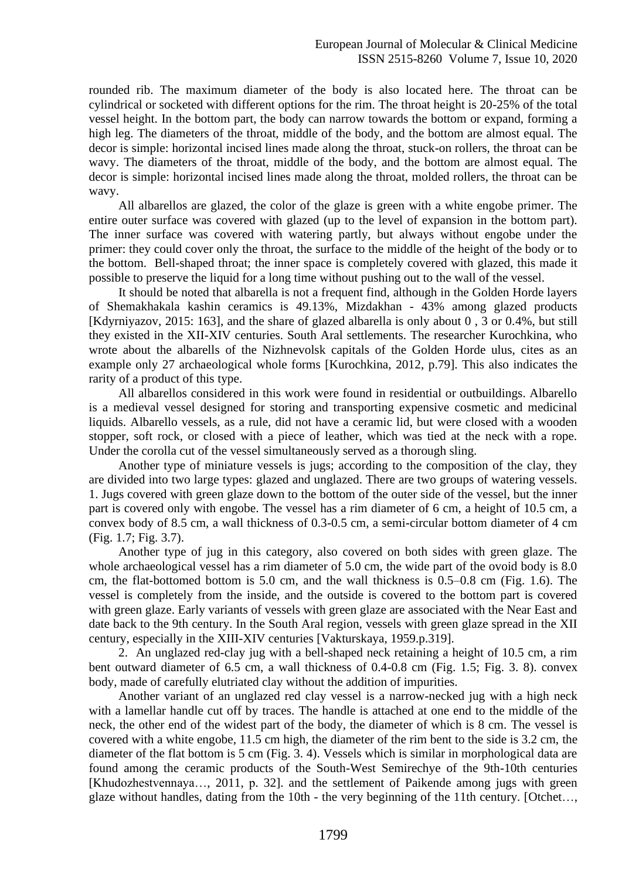rounded rib. The maximum diameter of the body is also located here. The throat can be cylindrical or socketed with different options for the rim. The throat height is 20-25% of the total vessel height. In the bottom part, the body can narrow towards the bottom or expand, forming a high leg. The diameters of the throat, middle of the body, and the bottom are almost equal. The decor is simple: horizontal incised lines made along the throat, stuck-on rollers, the throat can be wavy. The diameters of the throat, middle of the body, and the bottom are almost equal. The decor is simple: horizontal incised lines made along the throat, molded rollers, the throat can be wavy.

All albarellos are glazed, the color of the glaze is green with a white engobe primer. The entire outer surface was covered with glazed (up to the level of expansion in the bottom part). The inner surface was covered with watering partly, but always without engobe under the primer: they could cover only the throat, the surface to the middle of the height of the body or to the bottom. Bell-shaped throat; the inner space is completely covered with glazed, this made it possible to preserve the liquid for a long time without pushing out to the wall of the vessel.

It should be noted that albarella is not a frequent find, although in the Golden Horde layers of Shemakhakala kashin ceramics is 49.13%, Mizdakhan - 43% among glazed products [Kdyrniyazov, 2015: 163], and the share of glazed albarella is only about 0 , 3 or 0.4%, but still they existed in the XII-XIV centuries. South Aral settlements. The researcher Kurochkina, who wrote about the albarells of the Nizhnevolsk capitals of the Golden Horde ulus, cites as an example only 27 archaeological whole forms [Kurochkina, 2012, p.79]. This also indicates the rarity of a product of this type.

All albarellos considered in this work were found in residential or outbuildings. Albarello is a medieval vessel designed for storing and transporting expensive cosmetic and medicinal liquids. Albarello vessels, as a rule, did not have a ceramic lid, but were closed with a wooden stopper, soft rock, or closed with a piece of leather, which was tied at the neck with a rope. Under the corolla cut of the vessel simultaneously served as a thorough sling.

Another type of miniature vessels is jugs; according to the composition of the clay, they are divided into two large types: glazed and unglazed. There are two groups of watering vessels. 1. Jugs covered with green glaze down to the bottom of the outer side of the vessel, but the inner part is covered only with engobe. The vessel has a rim diameter of 6 cm, a height of 10.5 cm, a convex body of 8.5 cm, a wall thickness of 0.3-0.5 cm, a semi-circular bottom diameter of 4 cm (Fig. 1.7; Fig. 3.7).

Another type of jug in this category, also covered on both sides with green glaze. The whole archaeological vessel has a rim diameter of 5.0 cm, the wide part of the ovoid body is 8.0 cm, the flat-bottomed bottom is 5.0 cm, and the wall thickness is 0.5–0.8 cm (Fig. 1.6). The vessel is completely from the inside, and the outside is covered to the bottom part is covered with green glaze. Early variants of vessels with green glaze are associated with the Near East and date back to the 9th century. In the South Aral region, vessels with green glaze spread in the XII century, especially in the XIII-XIV centuries [Vakturskaya, 1959.p.319].

2. An unglazed red-clay jug with a bell-shaped neck retaining a height of 10.5 cm, a rim bent outward diameter of 6.5 cm, a wall thickness of 0.4-0.8 cm (Fig. 1.5; Fig. 3. 8). convex body, made of carefully elutriated clay without the addition of impurities.

Another variant of an unglazed red clay vessel is a narrow-necked jug with a high neck with a lamellar handle cut off by traces. The handle is attached at one end to the middle of the neck, the other end of the widest part of the body, the diameter of which is 8 cm. The vessel is covered with a white engobe, 11.5 cm high, the diameter of the rim bent to the side is 3.2 cm, the diameter of the flat bottom is 5 cm (Fig. 3. 4). Vessels which is similar in morphological data are found among the ceramic products of the South-West Semirechye of the 9th-10th centuries [Khudozhestvennaya..., 2011, p. 32]. and the settlement of Paikende among jugs with green glaze without handles, dating from the 10th - the very beginning of the 11th century. [Otchet…,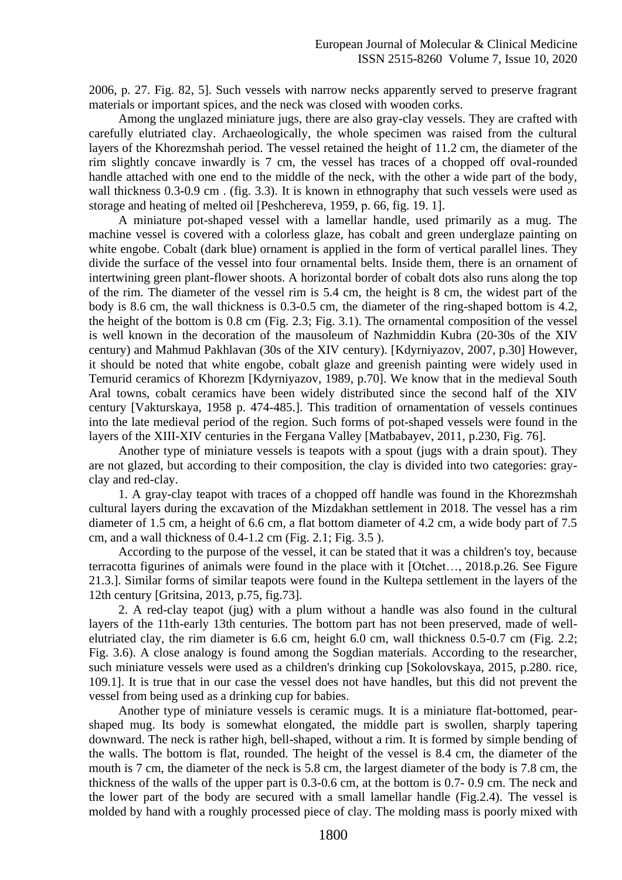2006, p. 27. Fig. 82, 5]. Such vessels with narrow necks apparently served to preserve fragrant materials or important spices, and the neck was closed with wooden corks.

Among the unglazed miniature jugs, there are also gray-clay vessels. They are crafted with carefully elutriated clay. Archaeologically, the whole specimen was raised from the cultural layers of the Khorezmshah period. The vessel retained the height of 11.2 cm, the diameter of the rim slightly concave inwardly is 7 cm, the vessel has traces of a chopped off oval-rounded handle attached with one end to the middle of the neck, with the other a wide part of the body, wall thickness 0.3-0.9 cm. (fig. 3.3). It is known in ethnography that such vessels were used as storage and heating of melted oil [Peshchereva, 1959, р. 66, fig. 19. 1].

A miniature pot-shaped vessel with a lamellar handle, used primarily as a mug. The machine vessel is covered with a colorless glaze, has cobalt and green underglaze painting on white engobe. Cobalt (dark blue) ornament is applied in the form of vertical parallel lines. They divide the surface of the vessel into four ornamental belts. Inside them, there is an ornament of intertwining green plant-flower shoots. A horizontal border of cobalt dots also runs along the top of the rim. The diameter of the vessel rim is 5.4 cm, the height is 8 cm, the widest part of the body is 8.6 cm, the wall thickness is 0.3-0.5 cm, the diameter of the ring-shaped bottom is 4.2, the height of the bottom is 0.8 cm (Fig. 2.3; Fig. 3.1). The ornamental composition of the vessel is well known in the decoration of the mausoleum of Nazhmiddin Kubra (20-30s of the XIV century) and Mahmud Pakhlavan (30s of the XIV century). [Kdyrniyazov, 2007, p.30] However, it should be noted that white engobe, cobalt glaze and greenish painting were widely used in Temurid ceramics of Khorezm [Kdyrniyazov, 1989, p.70]. We know that in the medieval South Aral towns, cobalt ceramics have been widely distributed since the second half of the XIV century [Vakturskaya, 1958 p. 474-485.]. This tradition of ornamentation of vessels continues into the late medieval period of the region. Such forms of pot-shaped vessels were found in the layers of the XIII-XIV centuries in the Fergana Valley [Matbabayev, 2011, p.230, Fig. 76].

Another type of miniature vessels is teapots with a spout (jugs with a drain spout). They are not glazed, but according to their composition, the clay is divided into two categories: grayclay and red-clay.

1. A gray-clay teapot with traces of a chopped off handle was found in the Khorezmshah cultural layers during the excavation of the Mizdakhan settlement in 2018. The vessel has a rim diameter of 1.5 cm, a height of 6.6 cm, a flat bottom diameter of 4.2 cm, a wide body part of 7.5 cm, and a wall thickness of 0.4-1.2 cm (Fig. 2.1; Fig. 3.5 ).

According to the purpose of the vessel, it can be stated that it was a children's toy, because terracotta figurines of animals were found in the place with it [Otchet…, 2018.p.26. See Figure 21.3.]. Similar forms of similar teapots were found in the Kultepa settlement in the layers of the 12th century [Gritsina, 2013, p.75, fig.73].

2. A red-clay teapot (jug) with a plum without a handle was also found in the cultural layers of the 11th-early 13th centuries. The bottom part has not been preserved, made of wellelutriated clay, the rim diameter is 6.6 cm, height 6.0 cm, wall thickness 0.5-0.7 cm (Fig. 2.2; Fig. 3.6). A close analogy is found among the Sogdian materials. According to the researcher, such miniature vessels were used as a children's drinking cup [Sokolovskaya, 2015, p.280. rice, 109.1]. It is true that in our case the vessel does not have handles, but this did not prevent the vessel from being used as a drinking cup for babies.

Another type of miniature vessels is ceramic mugs. It is a miniature flat-bottomed, pearshaped mug. Its body is somewhat elongated, the middle part is swollen, sharply tapering downward. The neck is rather high, bell-shaped, without a rim. It is formed by simple bending of the walls. The bottom is flat, rounded. The height of the vessel is 8.4 cm, the diameter of the mouth is 7 cm, the diameter of the neck is 5.8 cm, the largest diameter of the body is 7.8 cm, the thickness of the walls of the upper part is 0.3-0.6 cm, at the bottom is 0.7- 0.9 cm. The neck and the lower part of the body are secured with a small lamellar handle (Fig.2.4). The vessel is molded by hand with a roughly processed piece of clay. The molding mass is poorly mixed with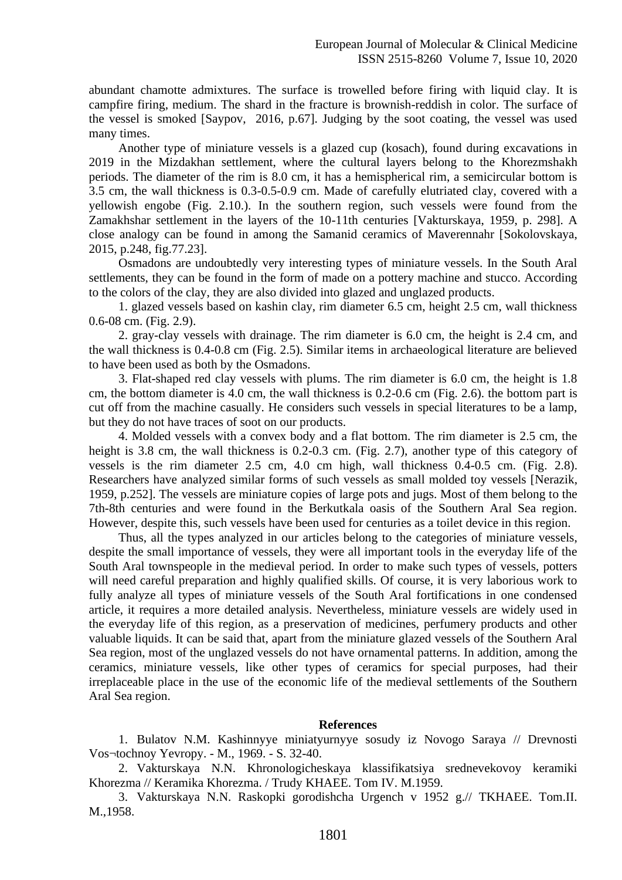abundant chamotte admixtures. The surface is trowelled before firing with liquid clay. It is campfire firing, medium. The shard in the fracture is brownish-reddish in color. The surface of the vessel is smoked [Saypov, 2016, p.67]. Judging by the soot coating, the vessel was used many times.

Another type of miniature vessels is a glazed cup (kosach), found during excavations in 2019 in the Mizdakhan settlement, where the cultural layers belong to the Khorezmshakh periods. The diameter of the rim is 8.0 cm, it has a hemispherical rim, a semicircular bottom is 3.5 cm, the wall thickness is 0.3-0.5-0.9 cm. Made of carefully elutriated clay, covered with a yellowish engobe (Fig. 2.10.). In the southern region, such vessels were found from the Zamakhshar settlement in the layers of the 10-11th centuries [Vakturskaya, 1959, p. 298]. A close analogy can be found in among the Samanid ceramics of Maverennahr [Sokolovskaya, 2015, p.248, fig.77.23].

Osmadons are undoubtedly very interesting types of miniature vessels. In the South Aral settlements, they can be found in the form of made on a pottery machine and stucco. According to the colors of the clay, they are also divided into glazed and unglazed products.

1. glazed vessels based on kashin clay, rim diameter 6.5 cm, height 2.5 cm, wall thickness 0.6-08 cm. (Fig. 2.9).

2. gray-clay vessels with drainage. The rim diameter is 6.0 cm, the height is 2.4 cm, and the wall thickness is 0.4-0.8 cm (Fig. 2.5). Similar items in archaeological literature are believed to have been used as both by the Osmadons.

3. Flat-shaped red clay vessels with plums. The rim diameter is 6.0 cm, the height is 1.8 cm, the bottom diameter is 4.0 cm, the wall thickness is 0.2-0.6 cm (Fig. 2.6). the bottom part is cut off from the machine casually. He considers such vessels in special literatures to be a lamp, but they do not have traces of soot on our products.

4. Molded vessels with a convex body and a flat bottom. The rim diameter is 2.5 cm, the height is 3.8 cm, the wall thickness is 0.2-0.3 cm. (Fig. 2.7), another type of this category of vessels is the rim diameter 2.5 cm, 4.0 cm high, wall thickness 0.4-0.5 cm. (Fig. 2.8). Researchers have analyzed similar forms of such vessels as small molded toy vessels [Nerazik, 1959, p.252]. The vessels are miniature copies of large pots and jugs. Most of them belong to the 7th-8th centuries and were found in the Berkutkala oasis of the Southern Aral Sea region. However, despite this, such vessels have been used for centuries as a toilet device in this region.

Thus, all the types analyzed in our articles belong to the categories of miniature vessels, despite the small importance of vessels, they were all important tools in the everyday life of the South Aral townspeople in the medieval period. In order to make such types of vessels, potters will need careful preparation and highly qualified skills. Of course, it is very laborious work to fully analyze all types of miniature vessels of the South Aral fortifications in one condensed article, it requires a more detailed analysis. Nevertheless, miniature vessels are widely used in the everyday life of this region, as a preservation of medicines, perfumery products and other valuable liquids. It can be said that, apart from the miniature glazed vessels of the Southern Aral Sea region, most of the unglazed vessels do not have ornamental patterns. In addition, among the ceramics, miniature vessels, like other types of ceramics for special purposes, had their irreplaceable place in the use of the economic life of the medieval settlements of the Southern Aral Sea region.

## **References**

1. Bulatov N.M. Kashinnyye miniatyurnyye sosudy iz Novogo Saraya // Drevnosti Vos¬tochnoy Yevropy. - M., 1969. - S. 32-40.

2. Vakturskaya N.N. Khronologicheskaya klassifikatsiya srednevekovoy keramiki Khorezma // Keramika Khorezma. / Trudy KHAEE. Tom IV. M.1959.

3. Vakturskaya N.N. Raskopki gorodishcha Urgench v 1952 g.// TKHAEE. Tom.II. M.,1958.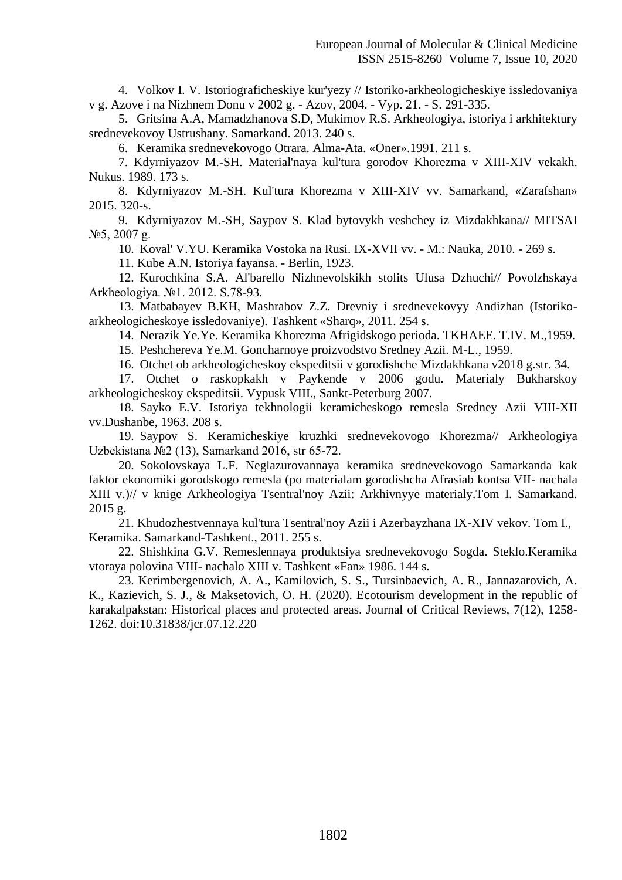4. Volkov I. V. Istoriograficheskiye kur'yezy // Istoriko-arkheologicheskiye issledovaniya v g. Azove i na Nizhnem Donu v 2002 g. - Azov, 2004. - Vyp. 21. - S. 291-335.

5. Gritsina A.A, Mamadzhanova S.D, Mukimov R.S. Arkheologiya, istoriya i arkhitektury srednevekovoy Ustrushany. Samarkand. 2013. 240 s.

6. Keramika srednevekovogo Otrara. Alma-Ata. «Oner».1991. 211 s.

7. Kdyrniyazov M.-SH. Material'naya kul'tura gorodov Khorezma v XIII-XIV vekakh. Nukus. 1989. 173 s.

8. Kdyrniyazov M.-SH. Kul'tura Khorezma v XIII-XIV vv. Samarkand, «Zarafshan» 2015. 320-s.

9. Kdyrniyazov M.-SH, Saypov S. Klad bytovykh veshchey iz Mizdakhkana// MITSAI №5, 2007 g.

10. Koval' V.YU. Keramika Vostoka na Rusi. IX-XVII vv. - M.: Nauka, 2010. - 269 s.

11. Kube A.N. Istoriya fayansa. - Berlin, 1923.

12. Kurochkina S.A. Al'barello Nizhnevolskikh stolits Ulusa Dzhuchi// Povolzhskaya Arkheologiya. №1. 2012. S.78-93.

13. Matbabayev B.KH, Mashrabov Z.Z. Drevniy i srednevekovyy Andizhan (Istorikoarkheologicheskoye issledovaniye). Tashkent «Sharq», 2011. 254 s.

14. Nerazik Ye.Ye. Keramika Khorezma Afrigidskogo perioda. TKHAEE. T.IV. M.,1959.

15. Peshchereva Ye.M. Goncharnoye proizvodstvo Sredney Azii. M-L., 1959.

16. Otchet ob arkheologicheskoy ekspeditsii v gorodishche Mizdakhkana v2018 g.str. 34.

17. Otchet o raskopkakh v Paykende v 2006 godu. Materialy Bukharskoy arkheologicheskoy ekspeditsii. Vypusk VIII., Sankt-Peterburg 2007.

18. Sayko E.V. Istoriya tekhnologii keramicheskogo remesla Sredney Azii VIII-XII vv.Dushanbe, 1963. 208 s.

19. Saypov S. Keramicheskiye kruzhki srednevekovogo Khorezma// Arkheologiya Uzbekistana №2 (13), Samarkand 2016, str 65-72.

20. Sokolovskaya L.F. Neglazurovannaya keramika srednevekovogo Samarkanda kak faktor ekonomiki gorodskogo remesla (po materialam gorodishcha Afrasiab kontsa VII- nachala XIII v.)// v knige Arkheologiya Tsentral'noy Azii: Arkhivnyye materialy.Tom I. Samarkand. 2015 g.

21. Khudozhestvennaya kul'tura Tsentral'noy Azii i Azerbayzhana IX-XIV vekov. Tom I., Keramika. Samarkand-Tashkent., 2011. 255 s.

22. Shishkina G.V. Remeslennaya produktsiya srednevekovogo Sogda. Steklo.Keramika vtoraya polovina VIII- nachalo XIII v. Tashkent «Fan» 1986. 144 s.

23. Kerimbergenovich, A. A., Kamilovich, S. S., Tursinbaevich, A. R., Jannazarovich, A. K., Kazievich, S. J., & Maksetovich, O. H. (2020). Ecotourism development in the republic of karakalpakstan: Historical places and protected areas. Journal of Critical Reviews, 7(12), 1258- 1262. doi:10.31838/jcr.07.12.220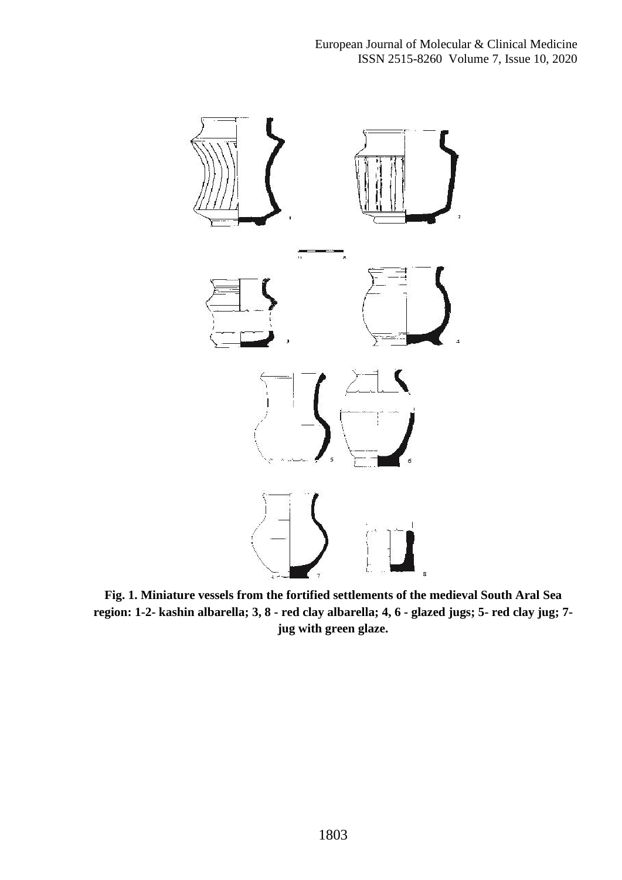

**Fig. 1. Miniature vessels from the fortified settlements of the medieval South Aral Sea region: 1-2- kashin albarella; 3, 8 - red clay albarella; 4, 6 - glazed jugs; 5- red clay jug; 7 jug with green glaze.**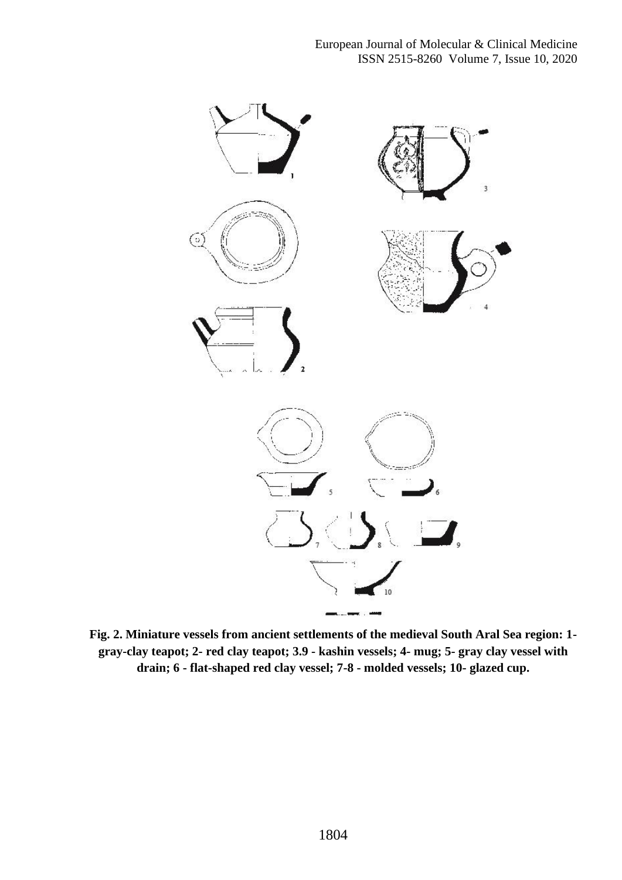

**Fig. 2. Miniature vessels from ancient settlements of the medieval South Aral Sea region: 1 gray-clay teapot; 2- red clay teapot; 3.9 - kashin vessels; 4- mug; 5- gray clay vessel with drain; 6 - flat-shaped red clay vessel; 7-8 - molded vessels; 10- glazed cup.**